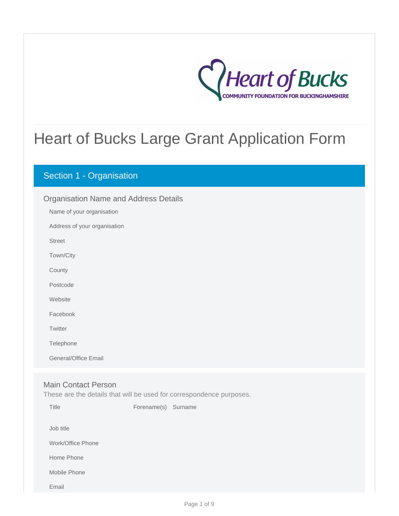

# Heart of Bucks Large Grant Application Form

# Section 1 - Organisation

# Organisation Name and Address Details

Name of your organisation

Address of your organisation

Street

Town/City

**County** 

Postcode

**Website** 

Facebook

**Twitter** 

Telephone

General/Office Email

### Main Contact Person

These are the details that will be used for correspondence purposes.

| Title             | Forename(s) | Surname |
|-------------------|-------------|---------|
| Job title         |             |         |
| Work/Office Phone |             |         |
| Home Phone        |             |         |
| Mobile Phone      |             |         |
| Email             |             |         |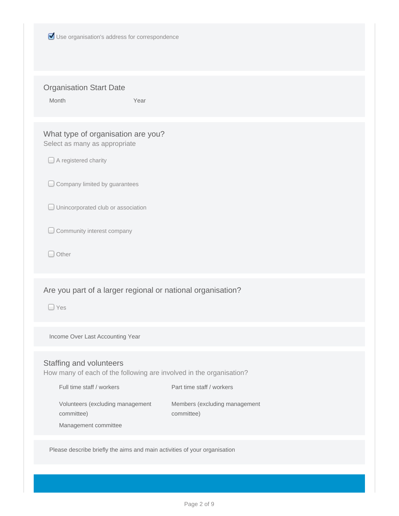| Use organisation's address for correspondence                                                                                                                                                                                                                                     |  |  |  |  |
|-----------------------------------------------------------------------------------------------------------------------------------------------------------------------------------------------------------------------------------------------------------------------------------|--|--|--|--|
| <b>Organisation Start Date</b><br>Month<br>Year                                                                                                                                                                                                                                   |  |  |  |  |
| What type of organisation are you?<br>Select as many as appropriate<br>$\Box$ A registered charity<br>Company limited by guarantees<br>Unincorporated club or association<br>Community interest company<br>$\Box$ Other                                                           |  |  |  |  |
| Are you part of a larger regional or national organisation?<br>$\Box$ Yes                                                                                                                                                                                                         |  |  |  |  |
| Income Over Last Accounting Year                                                                                                                                                                                                                                                  |  |  |  |  |
| Staffing and volunteers<br>How many of each of the following are involved in the organisation?<br>Full time staff / workers<br>Part time staff / workers<br>Volunteers (excluding management<br>Members (excluding management<br>committee)<br>committee)<br>Management committee |  |  |  |  |
| Please describe briefly the aims and main activities of your organisation                                                                                                                                                                                                         |  |  |  |  |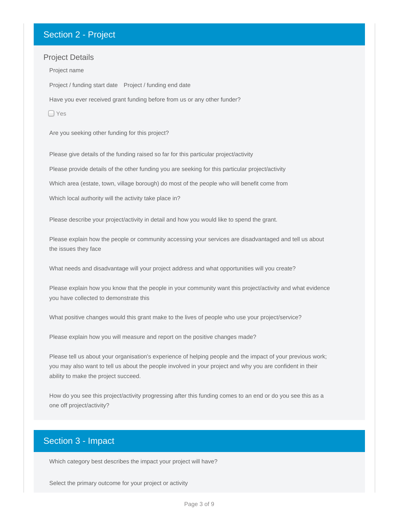# Section 2 - Project

### Project Details

Project / funding start date Project / funding end date Project name Have you ever received grant funding before from us or any other funder?

□ Yes

Are you seeking other funding for this project?

Please give details of the funding raised so far for this particular project/activity Please provide details of the other funding you are seeking for this particular project/activity Which area (estate, town, village borough) do most of the people who will benefit come from Which local authority will the activity take place in?

Please describe your project/activity in detail and how you would like to spend the grant.

Please explain how the people or community accessing your services are disadvantaged and tell us about the issues they face

What needs and disadvantage will your project address and what opportunities will you create?

Please explain how you know that the people in your community want this project/activity and what evidence you have collected to demonstrate this

What positive changes would this grant make to the lives of people who use your project/service?

Please explain how you will measure and report on the positive changes made?

Please tell us about your organisation's experience of helping people and the impact of your previous work; you may also want to tell us about the people involved in your project and why you are confident in their ability to make the project succeed.

How do you see this project/activity progressing after this funding comes to an end or do you see this as a one off project/activity?

# Section 3 - Impact

Which category best describes the impact your project will have?

Select the primary outcome for your project or activity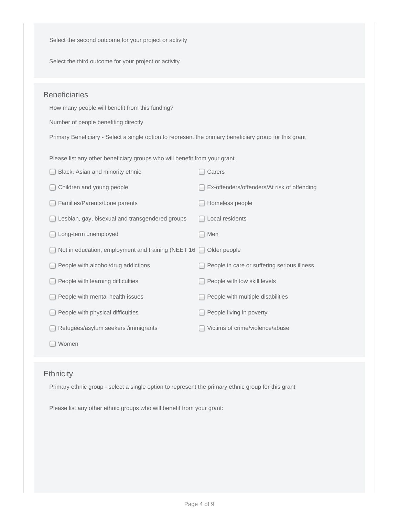Select the second outcome for your project or activity

Select the third outcome for your project or activity

## **Beneficiaries**

How many people will benefit from this funding?

Number of people benefiting directly

Primary Beneficiary - Select a single option to represent the primary beneficiary group for this grant

Please list any other beneficiary groups who will benefit from your grant

| Black, Asian and minority ethnic                   | Carers                                      |
|----------------------------------------------------|---------------------------------------------|
| Children and young people                          | Ex-offenders/offenders/At risk of offending |
| Families/Parents/Lone parents                      | Homeless people                             |
| Lesbian, gay, bisexual and transgendered groups    | Local residents                             |
| Long-term unemployed                               | Men                                         |
| Not in education, employment and training (NEET 16 | Older people                                |
| People with alcohol/drug addictions                | People in care or suffering serious illness |
| People with learning difficulties                  | People with low skill levels                |
| People with mental health issues                   | People with multiple disabilities           |
| People with physical difficulties                  | People living in poverty                    |
| Refugees/asylum seekers /immigrants                | Victims of crime/violence/abuse             |
| Women                                              |                                             |

### **Ethnicity**

Primary ethnic group - select a single option to represent the primary ethnic group for this grant

Please list any other ethnic groups who will benefit from your grant: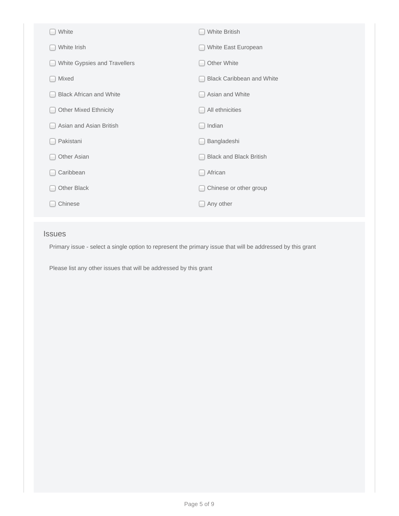| White                          | <b>White British</b>             |
|--------------------------------|----------------------------------|
| White Irish                    | White East European              |
| White Gypsies and Travellers   | Other White                      |
| Mixed                          | <b>Black Caribbean and White</b> |
| <b>Black African and White</b> | Asian and White                  |
| <b>Other Mixed Ethnicity</b>   | All ethnicities                  |
| Asian and Asian British        | Indian                           |
| Pakistani                      | Bangladeshi                      |
| Other Asian                    | <b>Black and Black British</b>   |
| Caribbean                      | African                          |
| Other Black                    | Chinese or other group           |
| Chinese                        | Any other                        |
|                                |                                  |

## Issues

Primary issue - select a single option to represent the primary issue that will be addressed by this grant

Please list any other issues that will be addressed by this grant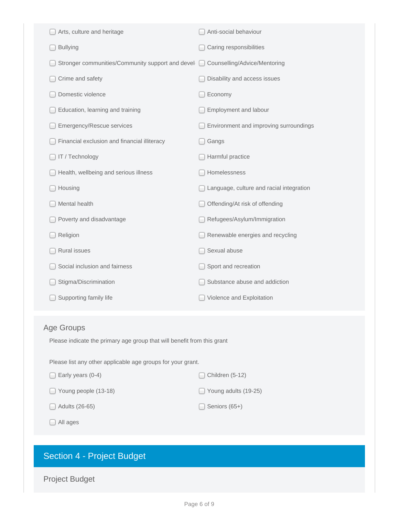|                   | Arts, culture and heritage                                              | Anti-social behaviour                    |  |  |  |
|-------------------|-------------------------------------------------------------------------|------------------------------------------|--|--|--|
|                   | <b>Bullying</b>                                                         | Caring responsibilities                  |  |  |  |
|                   | Stronger communities/Community support and devel                        | Counselling/Advice/Mentoring<br>O        |  |  |  |
|                   | Crime and safety                                                        | Disability and access issues             |  |  |  |
|                   | Domestic violence                                                       | Economy                                  |  |  |  |
|                   | Education, learning and training                                        | Employment and labour                    |  |  |  |
|                   | Emergency/Rescue services                                               | Environment and improving surroundings   |  |  |  |
|                   | Financial exclusion and financial illiteracy                            | Gangs                                    |  |  |  |
|                   | IT / Technology                                                         | Harmful practice                         |  |  |  |
|                   | Health, wellbeing and serious illness                                   | Homelessness                             |  |  |  |
|                   | Housing                                                                 | Language, culture and racial integration |  |  |  |
|                   | Mental health                                                           | Offending/At risk of offending           |  |  |  |
|                   | Poverty and disadvantage                                                | Refugees/Asylum/Immigration              |  |  |  |
|                   | Religion                                                                | Renewable energies and recycling         |  |  |  |
|                   | <b>Rural issues</b>                                                     | Sexual abuse                             |  |  |  |
|                   | Social inclusion and fairness                                           | Sport and recreation                     |  |  |  |
|                   | Stigma/Discrimination                                                   | Substance abuse and addiction            |  |  |  |
|                   | Supporting family life                                                  | Violence and Exploitation                |  |  |  |
|                   |                                                                         |                                          |  |  |  |
| <b>Age Groups</b> |                                                                         |                                          |  |  |  |
|                   | Please indicate the primary age group that will benefit from this grant |                                          |  |  |  |

Please list any other applicable age groups for your grant.

| $\Box$ Early years (0-4)    | $\Box$ Children (5-12)      |
|-----------------------------|-----------------------------|
| $\Box$ Young people (13-18) | $\Box$ Young adults (19-25) |
| $\Box$ Adults (26-65)       | $\Box$ Seniors (65+)        |

All ages

# Section 4 - Project Budget

Project Budget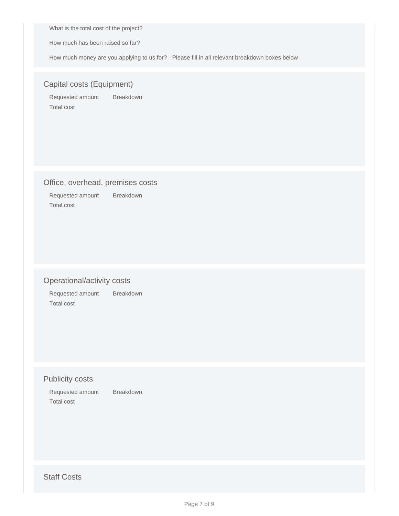What is the total cost of the project?

How much has been raised so far?

How much money are you applying to us for? - Please fill in all relevant breakdown boxes below

## Capital costs (Equipment)

Requested amount Breakdown Total cost

### Office, overhead, premises costs

Requested amount Breakdown Total cost

# Operational/activity costs

Requested amount Breakdown Total cost

# Publicity costs

Requested amount Breakdown Total cost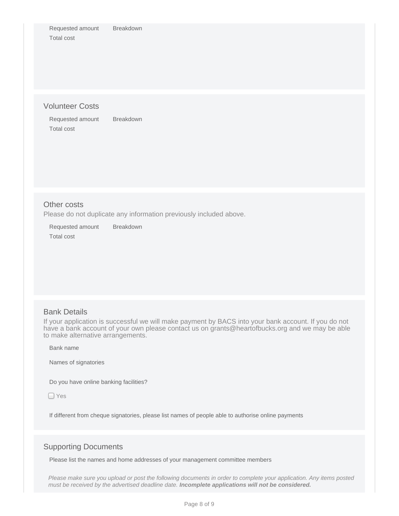Requested amount Breakdown Total cost

### Volunteer Costs

Requested amount Breakdown Total cost

### Other costs

Please do not duplicate any information previously included above.

Requested amount Breakdown Total cost

### Bank Details

If your application is successful we will make payment by BACS into your bank account. If you do not have a bank account of your own please contact us on grants@heartofbucks.org and we may be able to make alternative arrangements.

Bank name

Names of signatories

Do you have online banking facilities?

□ Yes

If different from cheque signatories, please list names of people able to authorise online payments

### Supporting Documents

Please list the names and home addresses of your management committee members

Please make sure you upload or post the following documents in order to complete your application. Any items posted must be received by the advertised deadline date. **Incomplete applications will not be considered.**